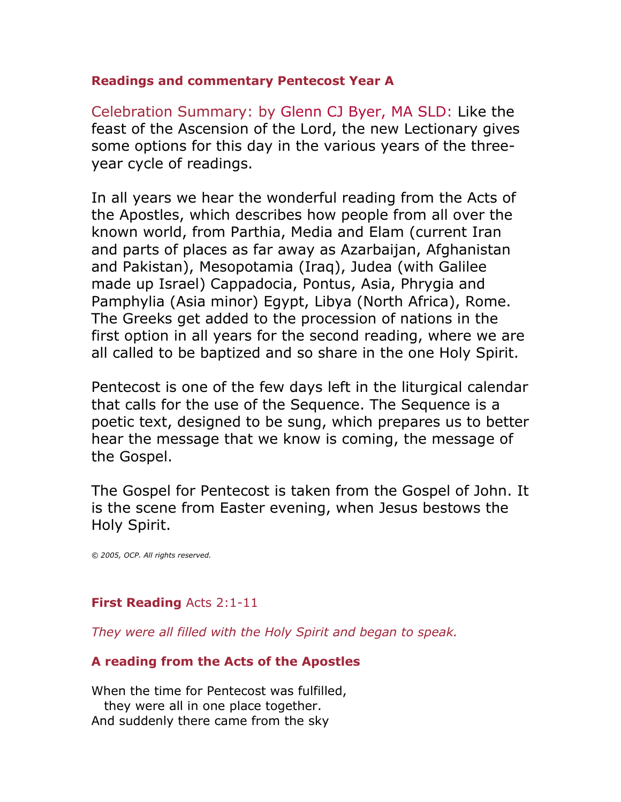### **Readings and commentary Pentecost Year A**

Celebration Summary: by [Glenn CJ Byer, MA SLD:](http://www.liturgy.com/home/authors.php?authorID=61991) Like the feast of the Ascension of the Lord, the new Lectionary gives some options for this day in the various years of the threeyear cycle of readings.

In all years we hear the wonderful reading from the Acts of the Apostles, which describes how people from all over the known world, from Parthia, Media and Elam (current Iran and parts of places as far away as Azarbaijan, Afghanistan and Pakistan), Mesopotamia (Iraq), Judea (with Galilee made up Israel) Cappadocia, Pontus, Asia, Phrygia and Pamphylia (Asia minor) Egypt, Libya (North Africa), Rome. The Greeks get added to the procession of nations in the first option in all years for the second reading, where we are all called to be baptized and so share in the one Holy Spirit.

Pentecost is one of the few days left in the liturgical calendar that calls for the use of the Sequence. The Sequence is a poetic text, designed to be sung, which prepares us to better hear the message that we know is coming, the message of the Gospel.

The Gospel for Pentecost is taken from the Gospel of John. It is the scene from Easter evening, when Jesus bestows the Holy Spirit.

*© 2005, OCP. All rights reserved.*

# **First Reading** Acts 2:1-11

*They were all filled with the Holy Spirit and began to speak.*

# **A reading from the Acts of the Apostles**

When the time for Pentecost was fulfilled, they were all in one place together. And suddenly there came from the sky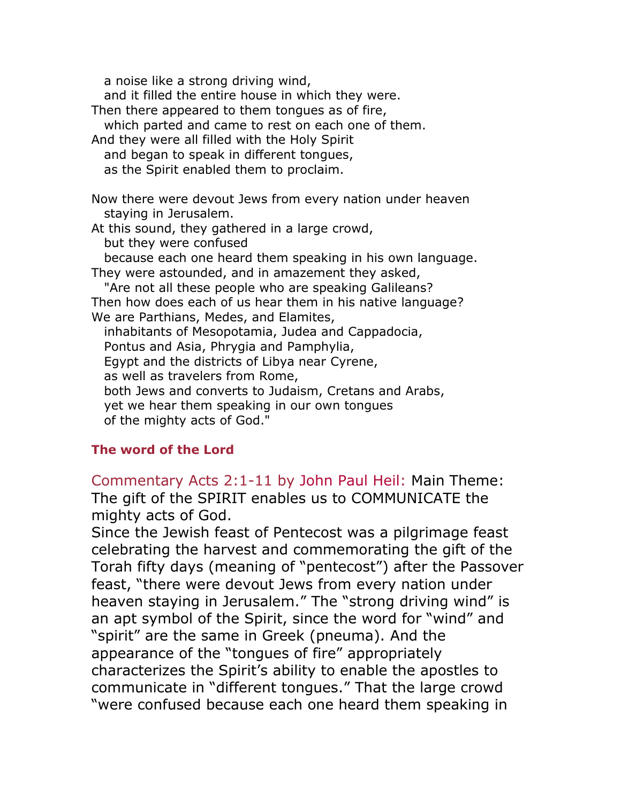a noise like a strong driving wind, and it filled the entire house in which they were. Then there appeared to them tongues as of fire, which parted and came to rest on each one of them. And they were all filled with the Holy Spirit and began to speak in different tongues, as the Spirit enabled them to proclaim. Now there were devout Jews from every nation under heaven staying in Jerusalem. At this sound, they gathered in a large crowd, but they were confused because each one heard them speaking in his own language. They were astounded, and in amazement they asked, "Are not all these people who are speaking Galileans? Then how does each of us hear them in his native language? We are Parthians, Medes, and Elamites, inhabitants of Mesopotamia, Judea and Cappadocia, Pontus and Asia, Phrygia and Pamphylia, Egypt and the districts of Libya near Cyrene, as well as travelers from Rome,

 both Jews and converts to Judaism, Cretans and Arabs, yet we hear them speaking in our own tongues of the mighty acts of God."

# **The word of the Lord**

Commentary Acts 2:1-11 by [John Paul Heil:](http://www.liturgy.com/home/authors.php?authorID=6) Main Theme: The gift of the SPIRIT enables us to COMMUNICATE the mighty acts of God.

Since the Jewish feast of Pentecost was a pilgrimage feast celebrating the harvest and commemorating the gift of the Torah fifty days (meaning of "pentecost") after the Passover feast, "there were devout Jews from every nation under heaven staying in Jerusalem." The "strong driving wind" is an apt symbol of the Spirit, since the word for "wind" and "spirit" are the same in Greek (pneuma). And the appearance of the "tongues of fire" appropriately characterizes the Spirit's ability to enable the apostles to communicate in "different tongues." That the large crowd "were confused because each one heard them speaking in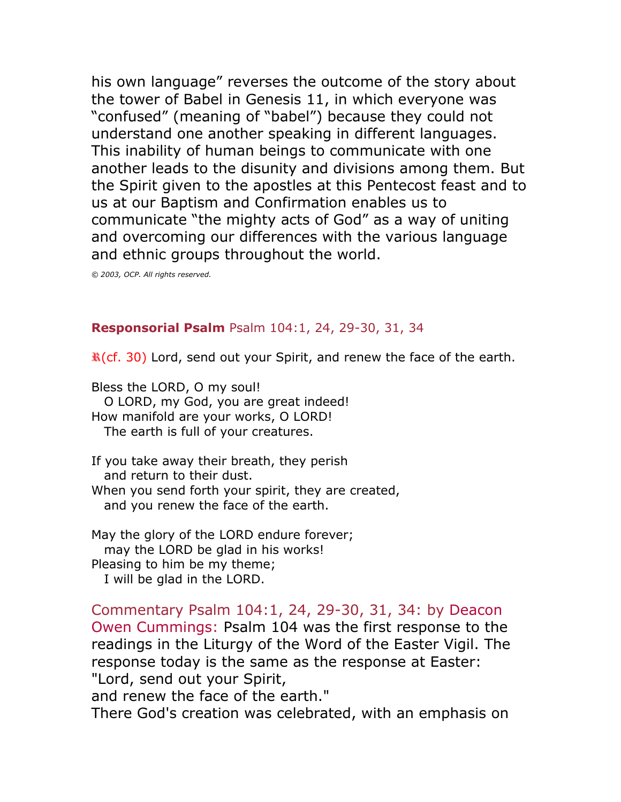his own language" reverses the outcome of the story about the tower of Babel in Genesis 11, in which everyone was "confused" (meaning of "babel") because they could not understand one another speaking in different languages. This inability of human beings to communicate with one another leads to the disunity and divisions among them. But the Spirit given to the apostles at this Pentecost feast and to us at our Baptism and Confirmation enables us to communicate "the mighty acts of God" as a way of uniting and overcoming our differences with the various language and ethnic groups throughout the world.

*© 2003, OCP. All rights reserved.*

#### **Responsorial Psalm** Psalm 104:1, 24, 29-30, 31, 34

**K(cf. 30) Lord, send out your Spirit, and renew the face of the earth.** 

Bless the LORD, O my soul! O LORD, my God, you are great indeed! How manifold are your works, O LORD! The earth is full of your creatures.

If you take away their breath, they perish and return to their dust. When you send forth your spirit, they are created, and you renew the face of the earth.

May the glory of the LORD endure forever; may the LORD be glad in his works! Pleasing to him be my theme; I will be glad in the LORD.

Commentary Psalm 104:1, 24, 29-30, 31, 34: by [Deacon](http://www.liturgy.com/home/authors.php?authorID=3373)  [Owen Cummings:](http://www.liturgy.com/home/authors.php?authorID=3373) Psalm 104 was the first response to the readings in the Liturgy of the Word of the Easter Vigil. The response today is the same as the response at Easter: "Lord, send out your Spirit,

and renew the face of the earth."

There God's creation was celebrated, with an emphasis on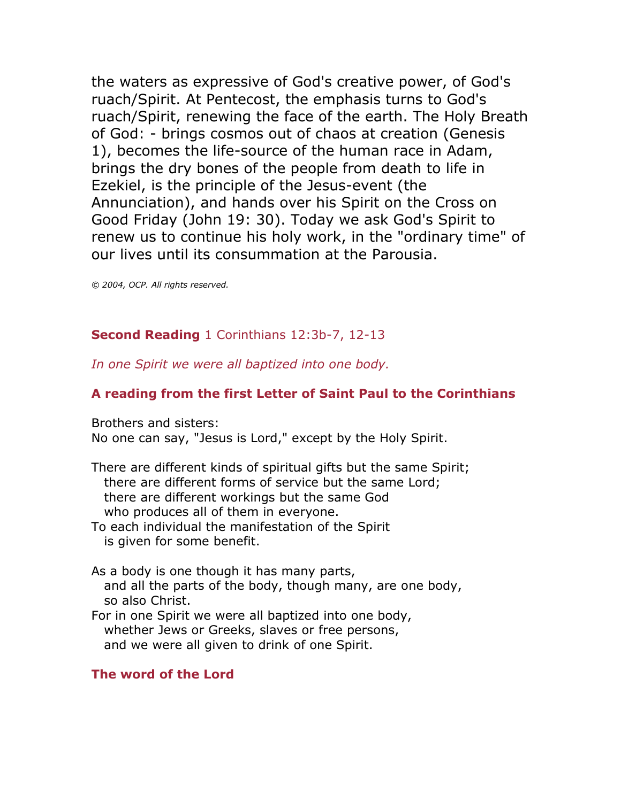the waters as expressive of God's creative power, of God's ruach/Spirit. At Pentecost, the emphasis turns to God's ruach/Spirit, renewing the face of the earth. The Holy Breath of God: - brings cosmos out of chaos at creation (Genesis 1), becomes the life-source of the human race in Adam, brings the dry bones of the people from death to life in Ezekiel, is the principle of the Jesus-event (the Annunciation), and hands over his Spirit on the Cross on Good Friday (John 19: 30). Today we ask God's Spirit to renew us to continue his holy work, in the "ordinary time" of our lives until its consummation at the Parousia.

*© 2004, OCP. All rights reserved.*

### **Second Reading** 1 Corinthians 12:3b-7, 12-13

*In one Spirit we were all baptized into one body.*

### **A reading from the first Letter of Saint Paul to the Corinthians**

Brothers and sisters:

No one can say, "Jesus is Lord," except by the Holy Spirit.

There are different kinds of spiritual gifts but the same Spirit; there are different forms of service but the same Lord; there are different workings but the same God who produces all of them in everyone.

To each individual the manifestation of the Spirit is given for some benefit.

As a body is one though it has many parts, and all the parts of the body, though many, are one body, so also Christ.

For in one Spirit we were all baptized into one body, whether Jews or Greeks, slaves or free persons, and we were all given to drink of one Spirit.

### **The word of the Lord**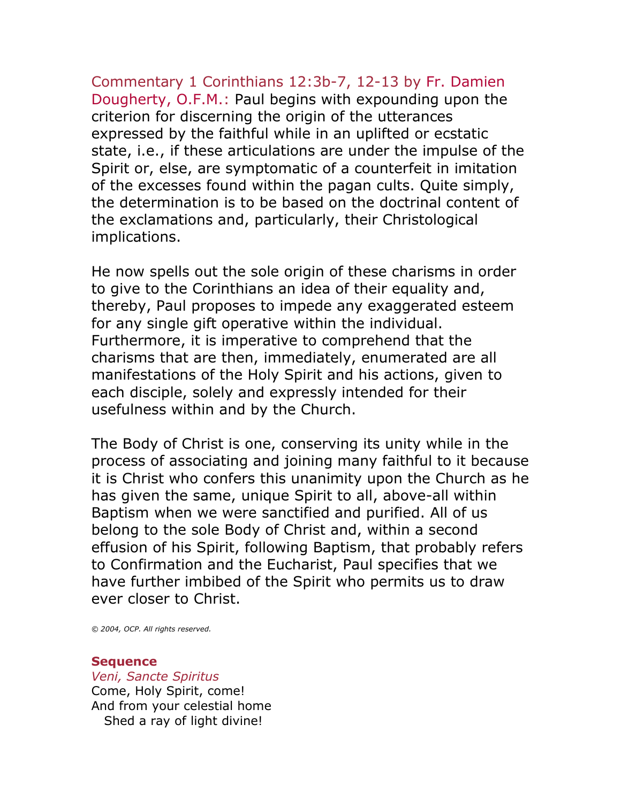Commentary 1 Corinthians 12:3b-7, 12-13 by [Fr. Damien](http://www.liturgy.com/home/authors.php?authorID=10)  [Dougherty, O.F.M.:](http://www.liturgy.com/home/authors.php?authorID=10) Paul begins with expounding upon the criterion for discerning the origin of the utterances expressed by the faithful while in an uplifted or ecstatic state, i.e., if these articulations are under the impulse of the Spirit or, else, are symptomatic of a counterfeit in imitation of the excesses found within the pagan cults. Quite simply, the determination is to be based on the doctrinal content of the exclamations and, particularly, their Christological implications.

He now spells out the sole origin of these charisms in order to give to the Corinthians an idea of their equality and, thereby, Paul proposes to impede any exaggerated esteem for any single gift operative within the individual. Furthermore, it is imperative to comprehend that the charisms that are then, immediately, enumerated are all manifestations of the Holy Spirit and his actions, given to each disciple, solely and expressly intended for their usefulness within and by the Church.

The Body of Christ is one, conserving its unity while in the process of associating and joining many faithful to it because it is Christ who confers this unanimity upon the Church as he has given the same, unique Spirit to all, above-all within Baptism when we were sanctified and purified. All of us belong to the sole Body of Christ and, within a second effusion of his Spirit, following Baptism, that probably refers to Confirmation and the Eucharist, Paul specifies that we have further imbibed of the Spirit who permits us to draw ever closer to Christ.

*© 2004, OCP. All rights reserved.*

### **Sequence**

#### *Veni, Sancte Spiritus*

Come, Holy Spirit, come! And from your celestial home Shed a ray of light divine!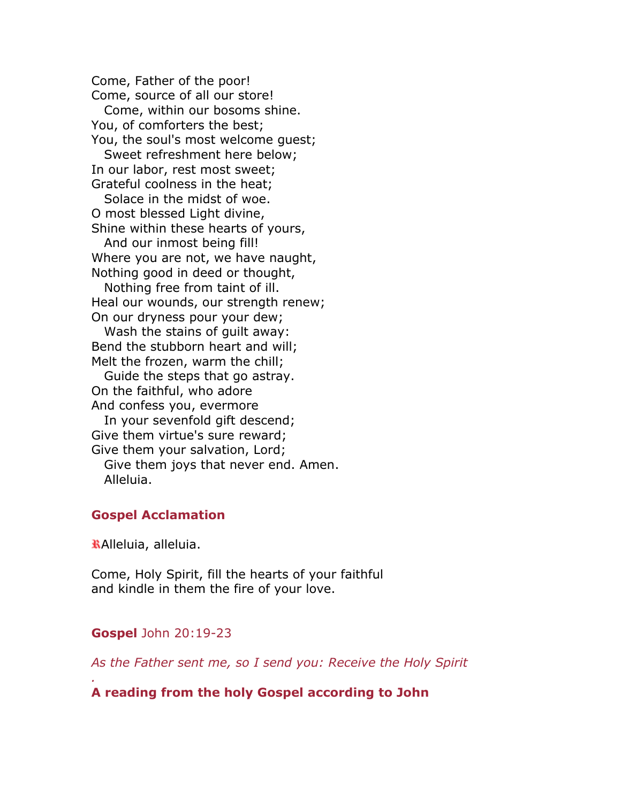Come, Father of the poor! Come, source of all our store! Come, within our bosoms shine. You, of comforters the best; You, the soul's most welcome guest; Sweet refreshment here below; In our labor, rest most sweet; Grateful coolness in the heat; Solace in the midst of woe. O most blessed Light divine, Shine within these hearts of yours, And our inmost being fill! Where you are not, we have naught, Nothing good in deed or thought, Nothing free from taint of ill. Heal our wounds, our strength renew; On our dryness pour your dew; Wash the stains of guilt away: Bend the stubborn heart and will; Melt the frozen, warm the chill; Guide the steps that go astray. On the faithful, who adore And confess you, evermore In your sevenfold gift descend; Give them virtue's sure reward; Give them your salvation, Lord; Give them joys that never end. Amen. Alleluia.

#### **Gospel Acclamation**

Alleluia, alleluia.

Come, Holy Spirit, fill the hearts of your faithful and kindle in them the fire of your love.

#### **Gospel** John 20:19-23

*.*

*As the Father sent me, so I send you: Receive the Holy Spirit*

### **A reading from the holy Gospel according to John**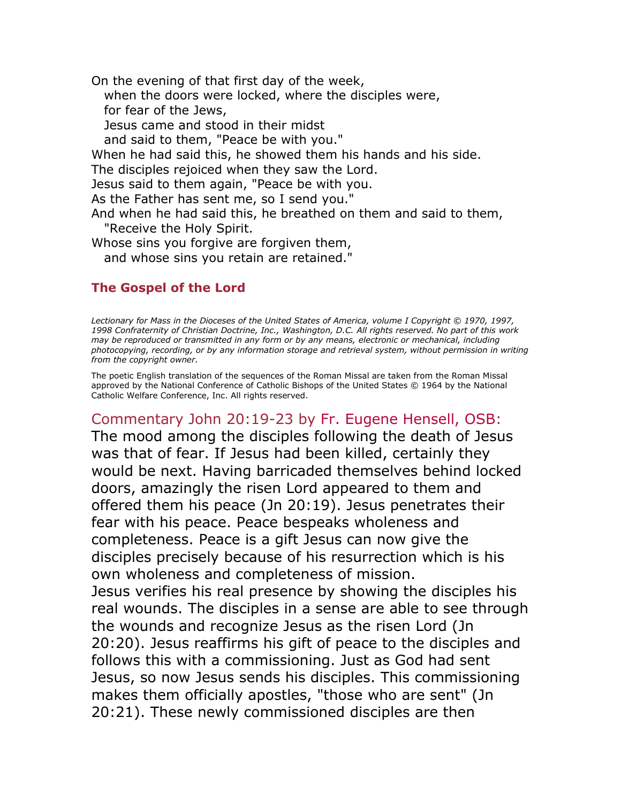On the evening of that first day of the week,

 when the doors were locked, where the disciples were, for fear of the Jews,

Jesus came and stood in their midst

and said to them, "Peace be with you."

When he had said this, he showed them his hands and his side.

The disciples rejoiced when they saw the Lord.

Jesus said to them again, "Peace be with you.

As the Father has sent me, so I send you."

And when he had said this, he breathed on them and said to them, "Receive the Holy Spirit.

Whose sins you forgive are forgiven them,

and whose sins you retain are retained."

# **The Gospel of the Lord**

*Lectionary for Mass in the Dioceses of the United States of America, volume I Copyright © 1970, 1997, 1998 Confraternity of Christian Doctrine, Inc., Washington, D.C. All rights reserved. No part of this work may be reproduced or transmitted in any form or by any means, electronic or mechanical, including photocopying, recording, or by any information storage and retrieval system, without permission in writing from the copyright owner.*

The poetic English translation of the sequences of the Roman Missal are taken from the Roman Missal approved by the National Conference of Catholic Bishops of the United States © 1964 by the National Catholic Welfare Conference, Inc. All rights reserved.

# Commentary John 20:19-23 by [Fr. Eugene Hensell, OSB:](http://www.liturgy.com/home/authors.php?authorID=17)

The mood among the disciples following the death of Jesus was that of fear. If Jesus had been killed, certainly they would be next. Having barricaded themselves behind locked doors, amazingly the risen Lord appeared to them and offered them his peace (Jn 20:19). Jesus penetrates their fear with his peace. Peace bespeaks wholeness and completeness. Peace is a gift Jesus can now give the disciples precisely because of his resurrection which is his own wholeness and completeness of mission.

Jesus verifies his real presence by showing the disciples his real wounds. The disciples in a sense are able to see through the wounds and recognize Jesus as the risen Lord (Jn 20:20). Jesus reaffirms his gift of peace to the disciples and follows this with a commissioning. Just as God had sent Jesus, so now Jesus sends his disciples. This commissioning makes them officially apostles, "those who are sent" (Jn 20:21). These newly commissioned disciples are then